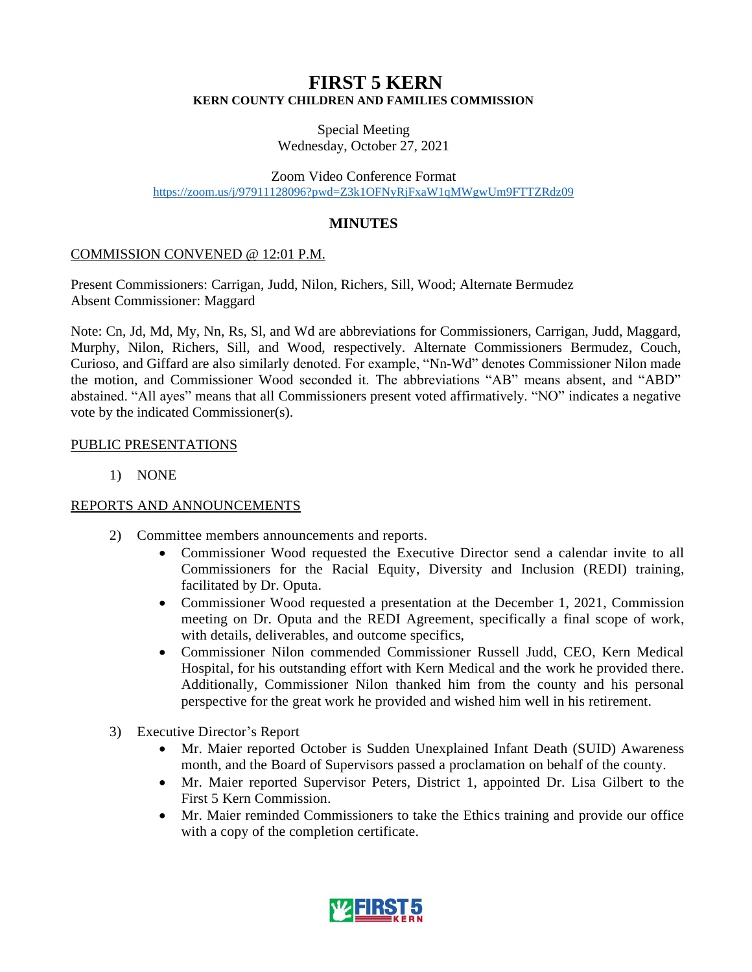# **FIRST 5 KERN KERN COUNTY CHILDREN AND FAMILIES COMMISSION**

Special Meeting Wednesday, October 27, 2021

Zoom Video Conference Format <https://zoom.us/j/97911128096?pwd=Z3k1OFNyRjFxaW1qMWgwUm9FTTZRdz09>

## **MINUTES**

## COMMISSION CONVENED @ 12:01 P.M.

Present Commissioners: Carrigan, Judd, Nilon, Richers, Sill, Wood; Alternate Bermudez Absent Commissioner: Maggard

Note: Cn, Jd, Md, My, Nn, Rs, Sl, and Wd are abbreviations for Commissioners, Carrigan, Judd, Maggard, Murphy, Nilon, Richers, Sill, and Wood, respectively. Alternate Commissioners Bermudez, Couch, Curioso, and Giffard are also similarly denoted. For example, "Nn-Wd" denotes Commissioner Nilon made the motion, and Commissioner Wood seconded it. The abbreviations "AB" means absent, and "ABD" abstained. "All ayes" means that all Commissioners present voted affirmatively. "NO" indicates a negative vote by the indicated Commissioner(s).

## PUBLIC PRESENTATIONS

1) NONE

## REPORTS AND ANNOUNCEMENTS

- 2) Committee members announcements and reports.
	- Commissioner Wood requested the Executive Director send a calendar invite to all Commissioners for the Racial Equity, Diversity and Inclusion (REDI) training, facilitated by Dr. Oputa.
	- Commissioner Wood requested a presentation at the December 1, 2021, Commission meeting on Dr. Oputa and the REDI Agreement, specifically a final scope of work, with details, deliverables, and outcome specifics,
	- Commissioner Nilon commended Commissioner Russell Judd, CEO, Kern Medical Hospital, for his outstanding effort with Kern Medical and the work he provided there. Additionally, Commissioner Nilon thanked him from the county and his personal perspective for the great work he provided and wished him well in his retirement.
- 3) Executive Director's Report
	- Mr. Maier reported October is Sudden Unexplained Infant Death (SUID) Awareness month, and the Board of Supervisors passed a proclamation on behalf of the county.
	- Mr. Maier reported Supervisor Peters, District 1, appointed Dr. Lisa Gilbert to the First 5 Kern Commission.
	- Mr. Maier reminded Commissioners to take the Ethics training and provide our office with a copy of the completion certificate.